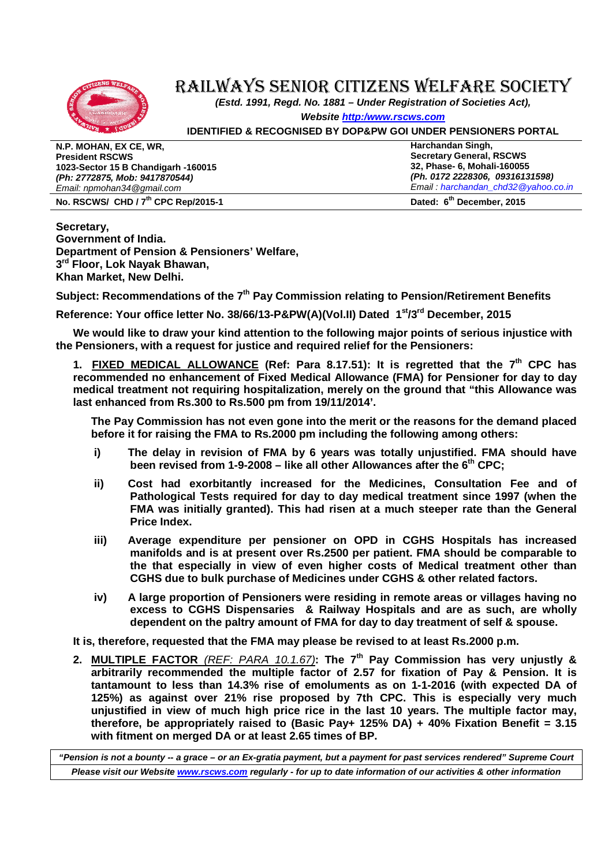

## RAILWAYS SENIOR CITIZENS WELFARE SOCIETY

**(Estd. 1991, Regd. No. 1881 – Under Registration of Societies Act),** 

**Website http:/www.rscws.com**

**IDENTIFIED & RECOGNISED BY DOP&PW GOI UNDER PENSIONERS PORTAL**

| N.P. MOHAN, EX CE, WR,                          | Harchandan Singh,                     |
|-------------------------------------------------|---------------------------------------|
| <b>President RSCWS</b>                          | <b>Secretary General, RSCWS</b>       |
| 1023-Sector 15 B Chandigarh -160015             | 32, Phase- 6, Mohali-160055           |
| (Ph: 2772875, Mob: 9417870544)                  | (Ph. 0172 2228306, 09316131598)       |
| Email: npmohan34@gmail.com                      | Email: harchandan_chd32 @yahoo.co.in  |
| No. RSCWS/ CHD / 7 <sup>th</sup> CPC Rep/2015-1 | Dated: 6 <sup>th</sup> December, 2015 |

**Secretary, Government of India. Department of Pension & Pensioners' Welfare, 3 rd Floor, Lok Nayak Bhawan, Khan Market, New Delhi.** 

**Subject: Recommendations of the 7th Pay Commission relating to Pension/Retirement Benefits** 

**Reference: Your office letter No. 38/66/13-P&PW(A)(Vol.II) Dated 1st/3rd December, 2015** 

**We would like to draw your kind attention to the following major points of serious injustice with the Pensioners, with a request for justice and required relief for the Pensioners:** 

**1. FIXED MEDICAL ALLOWANCE (Ref: Para 8.17.51): It is regretted that the 7th CPC has recommended no enhancement of Fixed Medical Allowance (FMA) for Pensioner for day to day medical treatment not requiring hospitalization, merely on the ground that "this Allowance was last enhanced from Rs.300 to Rs.500 pm from 19/11/2014'.** 

**The Pay Commission has not even gone into the merit or the reasons for the demand placed before it for raising the FMA to Rs.2000 pm including the following among others:** 

- **i) The delay in revision of FMA by 6 years was totally unjustified. FMA should have been revised from 1-9-2008 – like all other Allowances after the 6th CPC;**
- **ii) Cost had exorbitantly increased for the Medicines, Consultation Fee and of Pathological Tests required for day to day medical treatment since 1997 (when the FMA was initially granted). This had risen at a much steeper rate than the General Price Index.**
- **iii) Average expenditure per pensioner on OPD in CGHS Hospitals has increased manifolds and is at present over Rs.2500 per patient. FMA should be comparable to the that especially in view of even higher costs of Medical treatment other than CGHS due to bulk purchase of Medicines under CGHS & other related factors.**
- **iv) A large proportion of Pensioners were residing in remote areas or villages having no excess to CGHS Dispensaries & Railway Hospitals and are as such, are wholly dependent on the paltry amount of FMA for day to day treatment of self & spouse.**

**It is, therefore, requested that the FMA may please be revised to at least Rs.2000 p.m.** 

**2. MULTIPLE FACTOR** (REF: PARA 10.1.67)**: The 7th Pay Commission has very unjustly & arbitrarily recommended the multiple factor of 2.57 for fixation of Pay & Pension. It is tantamount to less than 14.3% rise of emoluments as on 1-1-2016 (with expected DA of 125%) as against over 21% rise proposed by 7th CPC. This is especially very much unjustified in view of much high price rice in the last 10 years. The multiple factor may, therefore, be appropriately raised to (Basic Pay+ 125% DA) + 40% Fixation Benefit = 3.15 with fitment on merged DA or at least 2.65 times of BP.** 

**"Pension is not a bounty -- a grace – or an Ex-gratia payment, but a payment for past services rendered" Supreme Court Please visit our Website www.rscws.com regularly - for up to date information of our activities & other information**